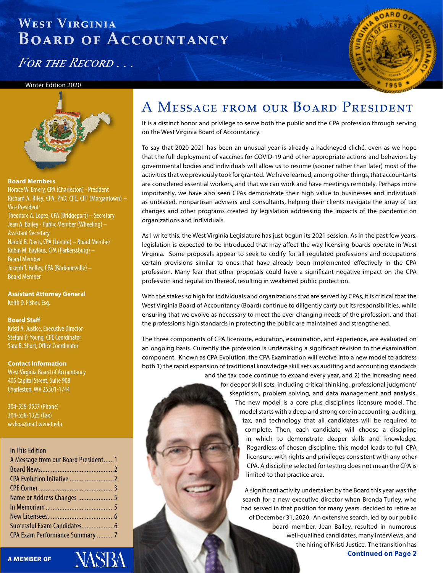*For the Record . . .*

#### Winter Edition 2020



#### **Board Members**

Horace W. Emery, CPA (Charleston) - President Richard A. Riley, CPA, PhD, CFE, CFF (Morgantown) – Vice President Theodore A. Lopez, CPA (Bridgeport) – Secretary Jean A. Bailey - Public Member (Wheeling) – Assistant Secretary Harold B. Davis, CPA (Lenore) – Board Member Robin M. Baylous, CPA (Parkerssburg) – Board Member Joseph T. Holley, CPA (Barboursville) – Board Member

**Assistant Attorney General** Keith D. Fisher, Esq.

#### **Board Staff**

Kristi A. Justice, Executive Director Stefani D. Young, CPE Coordinator Sara B. Short, Office Coordinator

#### **Contact Information**

West Virginia Board of Accountancy 405 Capitol Street, Suite 908 Charleston, WV 25301-1744

304-558-3557 (Phone) 304-558-1325 (Fax) wvboa@mail.wvnet.edu

### In This Edition

| A Message from our Board President1 |  |
|-------------------------------------|--|
|                                     |  |
|                                     |  |
|                                     |  |
| Name or Address Changes 5           |  |
|                                     |  |
|                                     |  |
|                                     |  |
| CPA Exam Performance Summary 7      |  |
|                                     |  |

### A Message from our Board President

**COMMAND** 

It is a distinct honor and privilege to serve both the public and the CPA profession through serving on the West Virginia Board of Accountancy.

To say that 2020-2021 has been an unusual year is already a hackneyed cliché, even as we hope that the full deployment of vaccines for COVID-19 and other appropriate actions and behaviors by governmental bodies and individuals will allow us to resume (sooner rather than later) most of the activities that we previously took for granted. We have learned, among other things, that accountants are considered essential workers, and that we can work and have meetings remotely. Perhaps more importantly, we have also seen CPAs demonstrate their high value to businesses and individuals as unbiased, nonpartisan advisers and consultants, helping their clients navigate the array of tax changes and other programs created by legislation addressing the impacts of the pandemic on organizations and individuals.

As I write this, the West Virginia Legislature has just begun its 2021 session. As in the past few years, legislation is expected to be introduced that may affect the way licensing boards operate in West Virginia. Some proposals appear to seek to codify for all regulated professions and occupations certain provisions similar to ones that have already been implemented effectively in the CPA profession. Many fear that other proposals could have a significant negative impact on the CPA profession and regulation thereof, resulting in weakened public protection.

With the stakes so high for individuals and organizations that are served by CPAs, it is critical that the West Virginia Board of Accountancy (Board) continue to diligently carry out its responsibilities, while ensuring that we evolve as necessary to meet the ever changing needs of the profession, and that the profession's high standards in protecting the public are maintained and strengthened.

The three components of CPA licensure, education, examination, and experience, are evaluated on an ongoing basis. Currently the profession is undertaking a significant revision to the examination component. Known as CPA Evolution, the CPA Examination will evolve into a new model to address both 1) the rapid expansion of traditional knowledge skill sets as auditing and accounting standards and the tax code continue to expand every year, and 2) the increasing need

> **West Virginia Board of Accountancy Page 1**

for deeper skill sets, including critical thinking, professional judgment/ skepticism, problem solving, and data management and analysis. The new model is a core plus disciplines licensure model. The model starts with a deep and strong core in accounting, auditing, tax, and technology that all candidates will be required to complete. Then, each candidate will choose a discipline in which to demonstrate deeper skills and knowledge. Regardless of chosen discipline, this model leads to full CPA licensure, with rights and privileges consistent with any other CPA. A discipline selected for testing does not mean the CPA is limited to that practice area.

**Continued on Page 2** A significant activity undertaken by the Board this year was the search for a new executive director when Brenda Turley, who had served in that position for many years, decided to retire as of December 31, 2020. An extensive search, led by our public board member, Jean Bailey, resulted in numerous well-qualified candidates, many interviews, and the hiring of Kristi Justice. The transition has

ASBA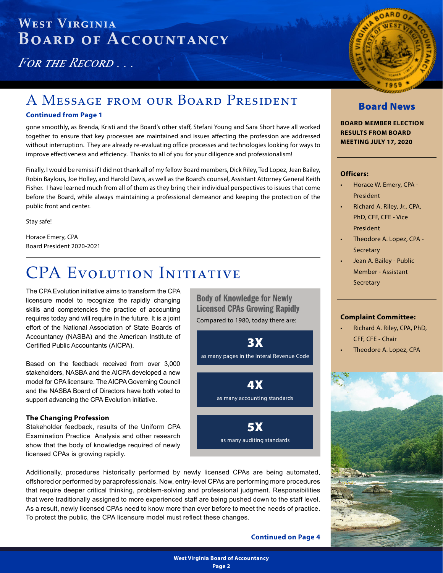<span id="page-1-0"></span>*For the Record . . .*

### A Message from our Board President

### **Continued from Page 1**

gone smoothly, as Brenda, Kristi and the Board's other staff, Stefani Young and Sara Short have all worked together to ensure that key processes are maintained and issues affecting the profession are addressed without interruption. They are already re-evaluating office processes and technologies looking for ways to improve effectiveness and efficiency. Thanks to all of you for your diligence and professionalism!

Finally, I would be remiss if I did not thank all of my fellow Board members, Dick Riley, Ted Lopez, Jean Bailey, Robin Baylous, Joe Holley, and Harold Davis, as well as the Board's counsel, Assistant Attorney General Keith Fisher. I have learned much from all of them as they bring their individual perspectives to issues that come before the Board, while always maintaining a professional demeanor and keeping the protection of the public front and center.

Stay safe!

Horace Emery, CPA Board President 2020-2021

# CPA EVOLUTION INITIATIVE

The CPA Evolution initiative aims to transform the CPA licensure model to recognize the rapidly changing skills and competencies the practice of accounting requires today and will require in the future. It is a joint effort of the National Association of State Boards of Accountancy (NASBA) and the American Institute of Certified Public Accountants (AICPA).

Based on the feedback received from over 3,000 stakeholders, NASBA and the AICPA developed a new model for CPA licensure. The AICPA Governing Council and the NASBA Board of Directors have both voted to support advancing the CPA Evolution initiative.

### **The Changing Profession**

Stakeholder feedback, results of the Uniform CPA Examination Practice Analysis and other research show that the body of knowledge required of newly licensed CPAs is growing rapidly.

Additionally, procedures historically performed by newly licensed CPAs are being automated, offshored or performed by paraprofessionals. Now, entry-level CPAs are performing more procedures that require deeper critical thinking, problem-solving and professional judgment. Responsibilities that were traditionally assigned to more experienced staff are being pushed down to the staff level. As a result, newly licensed CPAs need to know more than ever before to meet the needs of practice. To protect the public, the CPA licensure model must reflect these changes.

Body of Knowledge for Newly Licensed CPAs Growing Rapidly Compared to 1980, today there are:

3X as many pages in the Interal Revenue Code



**Continued on Page 4**



### Board News

**BOARD MEMBER ELECTION RESULTS FROM BOARD MEETING JULY 17, 2020**

### **Officers:**

- Horace W. Emery, CPA President
- Richard A. Riley, Jr., CPA, PhD, CFF, CFE - Vice President
- Theodore A. Lopez, CPA **Secretary**
- Jean A. Bailey Public Member - Assistant **Secretary**

### **Complaint Committee:**

- Richard A. Riley, CPA, PhD, CFF, CFE - Chair
	- Theodore A. Lopez, CPA

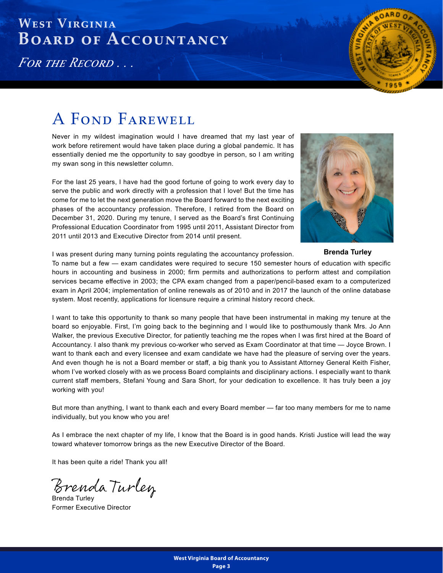*For the Record . . .*



# A FOND FAREWELL

Never in my wildest imagination would I have dreamed that my last year of work before retirement would have taken place during a global pandemic. It has essentially denied me the opportunity to say goodbye in person, so I am writing my swan song in this newsletter column.

For the last 25 years, I have had the good fortune of going to work every day to serve the public and work directly with a profession that I love! But the time has come for me to let the next generation move the Board forward to the next exciting phases of the accountancy profession. Therefore, I retired from the Board on December 31, 2020. During my tenure, I served as the Board's first Continuing Professional Education Coordinator from 1995 until 2011, Assistant Director from 2011 until 2013 and Executive Director from 2014 until present.



**Brenda Turley**

I was present during many turning points regulating the accountancy profession.

To name but a few — exam candidates were required to secure 150 semester hours of education with specific hours in accounting and business in 2000; firm permits and authorizations to perform attest and compilation services became effective in 2003; the CPA exam changed from a paper/pencil-based exam to a computerized exam in April 2004; implementation of online renewals as of 2010 and in 2017 the launch of the online database system. Most recently, applications for licensure require a criminal history record check.

I want to take this opportunity to thank so many people that have been instrumental in making my tenure at the board so enjoyable. First, I'm going back to the beginning and I would like to posthumously thank Mrs. Jo Ann Walker, the previous Executive Director, for patiently teaching me the ropes when I was first hired at the Board of Accountancy. I also thank my previous co-worker who served as Exam Coordinator at that time — Joyce Brown. I want to thank each and every licensee and exam candidate we have had the pleasure of serving over the years. And even though he is not a Board member or staff, a big thank you to Assistant Attorney General Keith Fisher, whom I've worked closely with as we process Board complaints and disciplinary actions. I especially want to thank current staff members, Stefani Young and Sara Short, for your dedication to excellence. It has truly been a joy working with you!

But more than anything, I want to thank each and every Board member — far too many members for me to name individually, but you know who you are!

As I embrace the next chapter of my life, I know that the Board is in good hands. Kristi Justice will lead the way toward whatever tomorrow brings as the new Executive Director of the Board.

It has been quite a ride! Thank you all!

Brenda Turley

Brenda Turley Former Executive Director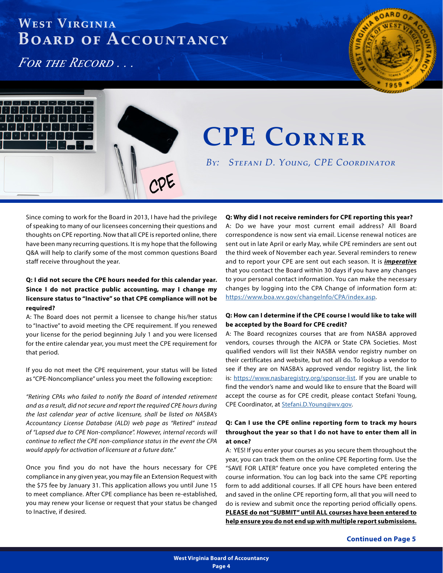<span id="page-3-0"></span>*For the Record . . .*



# **CPE Corner**

*By: Stefani D. Young, CPE Coordinator*

Since coming to work for the Board in 2013, I have had the privilege of speaking to many of our licensees concerning their questions and thoughts on CPE reporting. Now that all CPE is reported online, there have been many recurring questions. It is my hope that the following Q&A will help to clarify some of the most common questions Board staff receive throughout the year.

<u>n</u>0E

### **Q: I did not secure the CPE hours needed for this calendar year. Since I do not practice public accounting, may I change my licensure status to "Inactive" so that CPE compliance will not be required?**

A: The Board does not permit a licensee to change his/her status to "Inactive" to avoid meeting the CPE requirement. If you renewed your license for the period beginning July 1 and you were licensed for the entire calendar year, you must meet the CPE requirement for that period.

If you do not meet the CPE requirement, your status will be listed as "CPE-Noncompliance" unless you meet the following exception:

*"Retiring CPAs who failed to notify the Board of intended retirement and as a result, did not secure and report the required CPE hours during the last calendar year of active licensure, shall be listed on NASBA's Accountancy License Database (ALD) web page as "Retired" instead of "Lapsed due to CPE Non-compliance". However, internal records will continue to reflect the CPE non-compliance status in the event the CPA would apply for activation of licensure at a future date."*

Once you find you do not have the hours necessary for CPE compliance in any given year, you may file an Extension Request with the \$75 fee by January 31. This application allows you until June 15 to meet compliance. After CPE compliance has been re-established, you may renew your license or request that your status be changed to Inactive, if desired.

#### **Q: Why did I not receive reminders for CPE reporting this year?**

A: Do we have your most current email address? All Board correspondence is now sent via email. License renewal notices are sent out in late April or early May, while CPE reminders are sent out the third week of November each year. Several reminders to renew and to report your CPE are sent out each season. It is *imperative* that you contact the Board within 30 days if you have any changes to your personal contact information. You can make the necessary changes by logging into the CPA Change of information form at: <https://www.boa.wv.gov/changeInfo/CPA/index.asp>.

### **Q: How can I determine if the CPE course I would like to take will be accepted by the Board for CPE credit?**

A: The Board recognizes courses that are from NASBA approved vendors, courses through the AICPA or State CPA Societies. Most qualified vendors will list their NASBA vendor registry number on their certificates and website, but not all do. To lookup a vendor to see if they are on NASBA's approved vendor registry list, the link is: [https://www.nasbaregistry.org/sponsor-list.](https://www.nasbaregistry.org/sponsor-list) If you are unable to find the vendor's name and would like to ensure that the Board will accept the course as for CPE credit, please contact Stefani Young, CPE Coordinator, at [Stefani.D.Young@wv.gov](mailto:Stefani.D.Young%40wv.gov?subject=).

### **Q: Can I use the CPE online reporting form to track my hours throughout the year so that I do not have to enter them all in at once?**

A: YES! If you enter your courses as you secure them throughout the year, you can track them on the online CPE Reporting form. Use the "SAVE FOR LATER" feature once you have completed entering the course information. You can log back into the same CPE reporting form to add additional courses. If all CPE hours have been entered and saved in the online CPE reporting form, all that you will need to do is review and submit once the reporting period officially opens. **PLEASE do not "SUBMIT" until ALL courses have been entered to help ensure you do not end up with multiple report submissions.**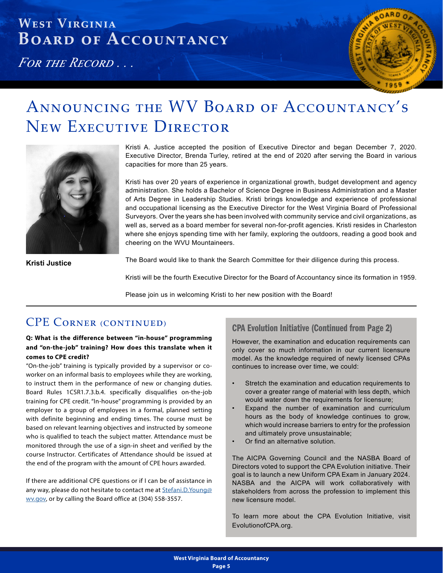*For the Record . . .*



# Announcing the WV Board of Accountancy's New EXECUTIVE DIRECTOR



Kristi A. Justice accepted the position of Executive Director and began December 7, 2020. Executive Director, Brenda Turley, retired at the end of 2020 after serving the Board in various capacities for more than 25 years.

Kristi has over 20 years of experience in organizational growth, budget development and agency administration. She holds a Bachelor of Science Degree in Business Administration and a Master of Arts Degree in Leadership Studies. Kristi brings knowledge and experience of professional and occupational licensing as the Executive Director for the West Virginia Board of Professional Surveyors. Over the years she has been involved with community service and civil organizations, as well as, served as a board member for several non-for-profit agencies. Kristi resides in Charleston where she enjoys spending time with her family, exploring the outdoors, reading a good book and cheering on the WVU Mountaineers.

**Kristi Justice**

The Board would like to thank the Search Committee for their diligence during this process.

Kristi will be the fourth Executive Director for the Board of Accountancy since its formation in 1959.

Please join us in welcoming Kristi to her new position with the Board!

### CPE CORNER (CONTINUED) CPA Evolution Initiative (Continued from Page 2)

### **Q: What is the difference between "in-house" programming and "on-the-job" training? How does this translate when it comes to CPE credit?**

"On-the-job" training is typically provided by a supervisor or coworker on an informal basis to employees while they are working, to instruct them in the performance of new or changing duties. Board Rules 1CSR1.7.3.b.4. specifically disqualifies on-the-job training for CPE credit. "In-house" programming is provided by an employer to a group of employees in a formal, planned setting with definite beginning and ending times. The course must be based on relevant learning objectives and instructed by someone who is qualified to teach the subject matter. Attendance must be monitored through the use of a sign-in sheet and verified by the course Instructor. Certificates of Attendance should be issued at the end of the program with the amount of CPE hours awarded.

If there are additional CPE questions or if I can be of assistance in any way, please do not hesitate to contact me at **Stefani.D.Young@** [wv.gov,](mailto:Stefani.D.Young%40wv.gov?subject=) or by calling the Board office at (304) 558-3557.

However, the examination and education requirements can only cover so much information in our current licensure model. As the knowledge required of newly licensed CPAs continues to increase over time, we could:

- Stretch the examination and education requirements to cover a greater range of material with less depth, which would water down the requirements for licensure;
- Expand the number of examination and curriculum hours as the body of knowledge continues to grow, which would increase barriers to entry for the profession and ultimately prove unsustainable;
- Or find an alternative solution.

The AICPA Governing Council and the NASBA Board of Directors voted to support the CPA Evolution initiative. Their goal is to launch a new Uniform CPA Exam in January 2024. NASBA and the AICPA will work collaboratively with stakeholders from across the profession to implement this new licensure model.

To learn more about the CPA Evolution Initiative, visit EvolutionofCPA.org.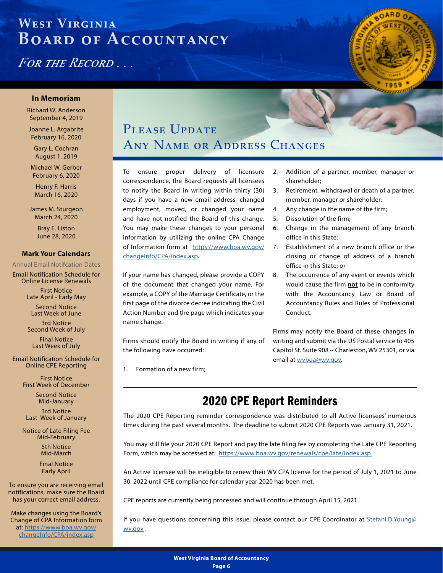<span id="page-5-0"></span>*For the Record . . .*



#### **In Memoriam**

Richard W. Anderson September 4, 2019

Joanne L. Argabrite February 16, 2020

Gary L. Cochran August 1, 2019

Michael W. Gerber February 6, 2020

Henry F. Harris March 16, 2020

James M. Sturgeon March 24, 2020

> Bray E. Liston June 28, 2020

#### **Mark Your Calendars**

#### Annual Email Notifcation Dates

Email Notification Schedule for Online License Renewals

> First Notice Late April - Early May

Second Notice Last Week of June

3rd Notice Second Week of July

Final Notice Last Week of July

Email Notification Schedule for Online CPE Reporting

> First Notice First Week of December

> > Second Notice Mid-January

3rd Notice Last Week of January

Notice of Late Filing Fee Mid-February

> 5th Notice Mid-March

Final Notice Early April

To ensure you are receiving email notifications, make sure the Board has your correct email address.

Make changes using the Board's Change of CPA Information form at: [https://www.boa.wv.gov/](https://www.boa.wv.gov/changeInfo/CPA/index.asp) [changeInfo/CPA/index.asp](https://www.boa.wv.gov/changeInfo/CPA/index.asp)

### PLEASE UPDATE Any Name or Address Changes

To ensure proper delivery of licensure correspondence, the Board requests all licensees to notify the Board in writing within thirty (30) days if you have a new email address, changed employment, moved, or changed your name and have not notified the Board of this change. You may make these changes to your personal information by utilizing the online CPA Change of Information form at [https://www.boa.wv.gov/](https://www.boa.wv.gov/changeInfo/CPA/index.asp) [changeInfo/CPA/index.asp](https://www.boa.wv.gov/changeInfo/CPA/index.asp).

If your name has changed, please provide a COPY of the document that changed your name. For example, a COPY of the Marriage Certificate, or the first page of the divorce decree indicating the Civil Action Number and the page which indicates your name change.

Firms should notify the Board in writing if any of the following have occurred:

1. Formation of a new firm;

- 2. Addition of a partner, member, manager or shareholder;
- 3. Retirement, withdrawal or death of a partner, member, manager or shareholder;
- 4. Any change in the name of the firm;
- 5. Dissolution of the firm;
- 6. Change in the management of any branch office in this State;
- 7. Establishment of a new branch office or the closing or change of address of a branch office in this State; or
- 8. The occurrence of any event or events which would cause the firm **not** to be in conformity with the Accountancy Law or Board of Accountancy Rules and Rules of Professional Conduct.

Firms may notify the Board of these changes in writing and submit via the US Postal service to 405 Capitol St. Suite 908 ~ Charleston, WV 25301, or via email at [wvboa@wv.gov](mailto:wvboa%40wv.gov?subject=).

### 2020 CPE Report Reminders

The 2020 CPE Reporting reminder correspondence was distributed to all Active licensees' numerous times during the past several months. The deadline to submit 2020 CPE Reports was January 31, 2021.

You may still file your 2020 CPE Report and pay the late filing fee by completing the Late CPE Reporting Form, which may be accessed at: [https://www.boa.wv.gov/renewals/cpe/late/index.asp.](https://www.boa.wv.gov/renewals/cpe/late/index.asp)

An Active licensee will be ineligible to renew their WV CPA license for the period of July 1, 2021 to June 30, 2022 until CPE compliance for calendar year 2020 has been met.

CPE reports are currently being processed and will continue through April 15, 2021.

If you have questions concerning this issue, please contact our CPE Coordinator at [Stefani.D.Young@](mailto:Stefani.D.Young%40wv.gov?subject=) [wv.gov](mailto:Stefani.D.Young%40wv.gov?subject=) .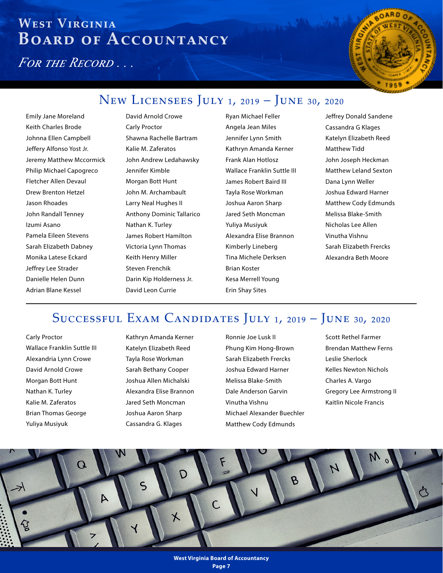<span id="page-6-0"></span>*For the Record . . .*



### New Licensees July 1, 2019 – June 30, 2020

Emily Jane Moreland Keith Charles Brode Johnna Ellen Campbell Jeffery Alfonso Yost Jr. Jeremy Matthew Mccormick Philip Michael Capogreco Fletcher Allen Devaul Drew Brenton Hetzel Jason Rhoades John Randall Tenney Izumi Asano Pamela Eileen Stevens Sarah Elizabeth Dabney Monika Latese Eckard Jeffrey Lee Strader Danielle Helen Dunn Adrian Blane Kessel

David Arnold Crowe Carly Proctor Shawna Rachelle Bartram Kalie M. Zaferatos John Andrew Ledahawsky Jennifer Kimble Morgan Bott Hunt John M. Archambault Larry Neal Hughes II Anthony Dominic Tallarico Nathan K. Turley James Robert Hamilton Victoria Lynn Thomas Keith Henry Miller Steven Frenchik Darin Kip Holderness Jr. David Leon Currie

Ryan Michael Feller Angela Jean Miles Jennifer Lynn Smith Kathryn Amanda Kerner Frank Alan Hotlosz Wallace Franklin Suttle III James Robert Baird III Tayla Rose Workman Joshua Aaron Sharp Jared Seth Moncman Yuliya Musiyuk Alexandra Elise Brannon Kimberly Lineberg Tina Michele Derksen Brian Koster Kesa Merrell Young Erin Shay Sites

Jeffrey Donald Sandene Cassandra G Klages Katelyn Elizabeth Reed Matthew Tidd John Joseph Heckman Matthew Leland Sexton Dana Lynn Weller Joshua Edward Harner Matthew Cody Edmunds Melissa Blake-Smith Nicholas Lee Allen Vinutha Vishnu Sarah Elizabeth Frercks Alexandra Beth Moore

### Successful Exam Candidates July 1, 2019 – June 30, 2020

Carly Proctor Wallace Franklin Suttle III Alexandria Lynn Crowe David Arnold Crowe Morgan Bott Hunt Nathan K. Turley Kalie M. Zaferatos Brian Thomas George Yuliya Musiyuk

Kathryn Amanda Kerner Katelyn Elizabeth Reed Tayla Rose Workman Sarah Bethany Cooper Joshua Allen Michalski Alexandra Elise Brannon Jared Seth Moncman Joshua Aaron Sharp Cassandra G. Klages

Ronnie Joe Lusk II Phung Kim Hong-Brown Sarah Elizabeth Frercks Joshua Edward Harner Melissa Blake-Smith Dale Anderson Garvin Vinutha Vishnu Michael Alexander Buechler Matthew Cody Edmunds

Scott Rethel Farmer Brendan Matthew Ferns Leslie Sherlock Kelles Newton Nichols Charles A. Vargo Gregory Lee Armstrong II Kaitlin Nicole Francis

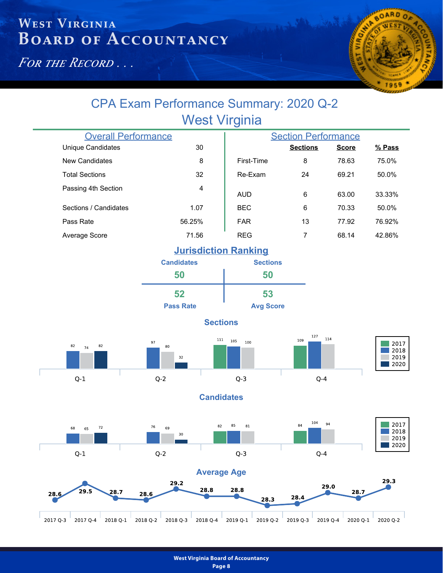*For the Record . . .*



### West Virginia CPA Exam Performance Summary: 2020 Q-2

| <b>Overall Performance</b> |                | <b>Section Performance</b> |                 |              |          |
|----------------------------|----------------|----------------------------|-----------------|--------------|----------|
| <b>Unique Candidates</b>   | 30             |                            | <b>Sections</b> | <b>Score</b> | $%$ Pass |
| New Candidates             | 8              | First-Time                 | 8               | 78.63        | 75.0%    |
| <b>Total Sections</b>      | 32             | Re-Exam                    | 24              | 69.21        | 50.0%    |
| Passing 4th Section        | $\overline{4}$ | <b>AUD</b>                 | 6               | 63.00        | 33.33%   |
| Sections / Candidates      | 1.07           | <b>BEC</b>                 | 6               | 70.33        | 50.0%    |
| Pass Rate                  | 56.25%         | <b>FAR</b>                 | 13              | 77.92        | 76.92%   |
| Average Score              | 71.56          | <b>REG</b>                 | 7               | 68.14        | 42.86%   |
|                            |                |                            |                 |              |          |

### **Jurisdiction Ranking**

| <b>Candidates</b> | <b>Sections</b>  |  |  |
|-------------------|------------------|--|--|
| 50                | 50               |  |  |
| 52                | 53               |  |  |
| <b>Pass Rate</b>  | <b>Avg Score</b> |  |  |

### **Sections**

 $111\,$ 

105 100

 $Q-3$ 







2017

**Candidates**







**% Pass**